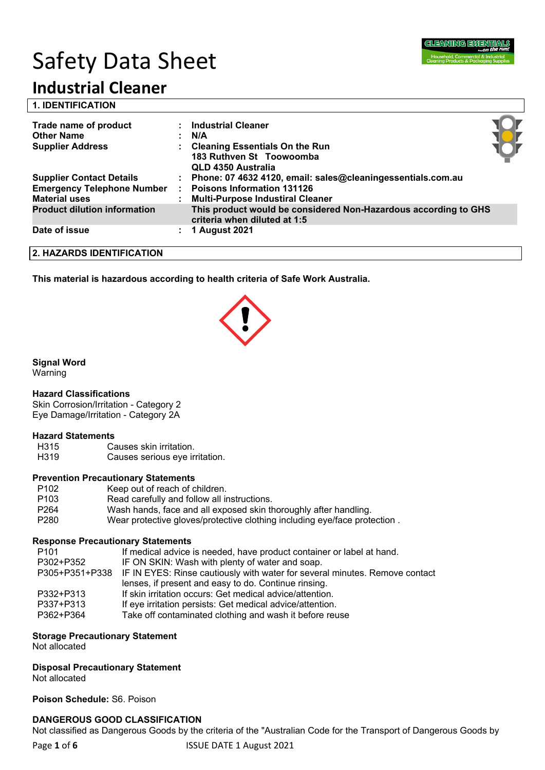

# Safety Data Sheet

## **Industrial Cleaner**

|  | <b>1. IDENTIFICATION</b> |  |
|--|--------------------------|--|
|  |                          |  |

| Trade name of product<br><b>Other Name</b><br><b>Supplier Address</b> | <b>Industrial Cleaner</b><br>N/A<br><b>Cleaning Essentials On the Run</b><br>183 Ruthven St Toowoomba<br>QLD 4350 Australia |  |
|-----------------------------------------------------------------------|-----------------------------------------------------------------------------------------------------------------------------|--|
| <b>Supplier Contact Details</b>                                       | : Phone: 07 4632 4120, email: sales@cleaningessentials.com.au                                                               |  |
| <b>Emergency Telephone Number</b>                                     | <b>Poisons Information 131126</b>                                                                                           |  |
| <b>Material uses</b>                                                  | <b>Multi-Purpose Industiral Cleaner</b>                                                                                     |  |
| <b>Product dilution information</b>                                   | This product would be considered Non-Hazardous according to GHS<br>criteria when diluted at 1:5                             |  |
| Date of issue                                                         | <b>1 August 2021</b>                                                                                                        |  |

**2. HAZARDS IDENTIFICATION**

**This material is hazardous according to health criteria of Safe Work Australia.**



#### **Signal Word**

Warning

#### **Hazard Classifications**

Skin Corrosion/Irritation - Category 2 Eye Damage/Irritation - Category 2A

#### **Hazard Statements**

H315 Causes skin irritation. H319 Causes serious eye irritation.

#### **Prevention Precautionary Statements**

| Keep out of reach of children.                                            |
|---------------------------------------------------------------------------|
| Read carefully and follow all instructions.                               |
| Wash hands, face and all exposed skin thoroughly after handling.          |
| Wear protective gloves/protective clothing including eye/face protection. |
|                                                                           |

#### **Response Precautionary Statements**

| P <sub>101</sub> | If medical advice is needed, have product container or label at hand.                      |
|------------------|--------------------------------------------------------------------------------------------|
| P302+P352        | IF ON SKIN: Wash with plenty of water and soap.                                            |
|                  | P305+P351+P338 IF IN EYES: Rinse cautiously with water for several minutes. Remove contact |
|                  | lenses, if present and easy to do. Continue rinsing.                                       |
| P332+P313        | If skin irritation occurs: Get medical advice/attention.                                   |
| P337+P313        | If eye irritation persists: Get medical advice/attention.                                  |
| P362+P364        | Take off contaminated clothing and wash it before reuse                                    |
|                  |                                                                                            |

#### **Storage Precautionary Statement**

Not allocated

#### **Disposal Precautionary Statement**

Not allocated

**Poison Schedule:** S6. Poison

#### **DANGEROUS GOOD CLASSIFICATION**

Not classified as Dangerous Goods by the criteria of the "Australian Code for the Transport of Dangerous Goods by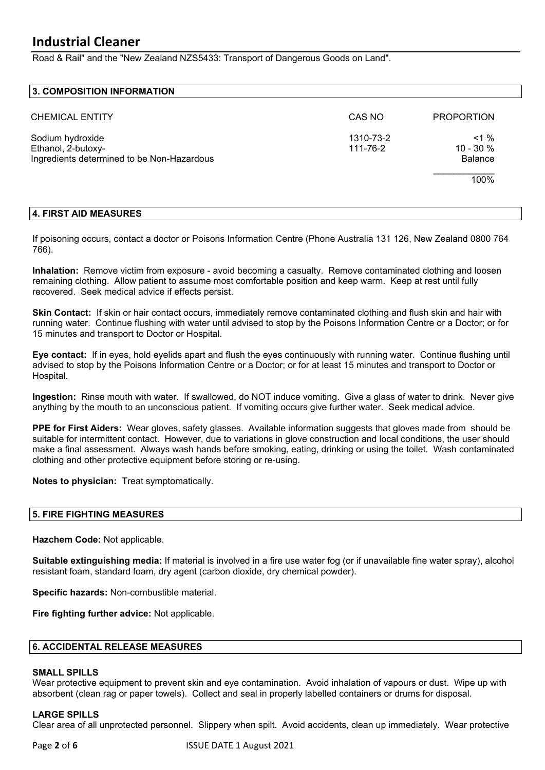Road & Rail" and the "New Zealand NZS5433: Transport of Dangerous Goods on Land".

#### **3. COMPOSITION INFORMATION**

| <b>CHEMICAL ENTITY</b>                                                               | CAS NO                | <b>PROPORTION</b>                       |
|--------------------------------------------------------------------------------------|-----------------------|-----------------------------------------|
| Sodium hydroxide<br>Ethanol, 2-butoxy-<br>Ingredients determined to be Non-Hazardous | 1310-73-2<br>111-76-2 | $1\%$<br>$10 - 30 \%$<br><b>Balance</b> |
|                                                                                      |                       | 100%                                    |

#### **4. FIRST AID MEASURES**

If poisoning occurs, contact a doctor or Poisons Information Centre (Phone Australia 131 126, New Zealand 0800 764 766).

**Inhalation:** Remove victim from exposure - avoid becoming a casualty. Remove contaminated clothing and loosen remaining clothing. Allow patient to assume most comfortable position and keep warm. Keep at rest until fully recovered. Seek medical advice if effects persist.

**Skin Contact:** If skin or hair contact occurs, immediately remove contaminated clothing and flush skin and hair with running water. Continue flushing with water until advised to stop by the Poisons Information Centre or a Doctor; or for 15 minutes and transport to Doctor or Hospital.

**Eye contact:** If in eyes, hold eyelids apart and flush the eyes continuously with running water. Continue flushing until advised to stop by the Poisons Information Centre or a Doctor; or for at least 15 minutes and transport to Doctor or Hospital.

**Ingestion:** Rinse mouth with water. If swallowed, do NOT induce vomiting. Give a glass of water to drink. Never give anything by the mouth to an unconscious patient. If vomiting occurs give further water. Seek medical advice.

**PPE for First Aiders:** Wear gloves, safety glasses. Available information suggests that gloves made from should be suitable for intermittent contact. However, due to variations in glove construction and local conditions, the user should make a final assessment. Always wash hands before smoking, eating, drinking or using the toilet. Wash contaminated clothing and other protective equipment before storing or re-using.

**Notes to physician:** Treat symptomatically.

#### **5. FIRE FIGHTING MEASURES**

**Hazchem Code:** Not applicable.

**Suitable extinguishing media:** If material is involved in a fire use water fog (or if unavailable fine water spray), alcohol resistant foam, standard foam, dry agent (carbon dioxide, dry chemical powder).

**Specific hazards:** Non-combustible material.

**Fire fighting further advice:** Not applicable.

#### **6. ACCIDENTAL RELEASE MEASURES**

#### **SMALL SPILLS**

Wear protective equipment to prevent skin and eye contamination. Avoid inhalation of vapours or dust. Wipe up with absorbent (clean rag or paper towels). Collect and seal in properly labelled containers or drums for disposal.

#### **LARGE SPILLS**

Clear area of all unprotected personnel. Slippery when spilt. Avoid accidents, clean up immediately. Wear protective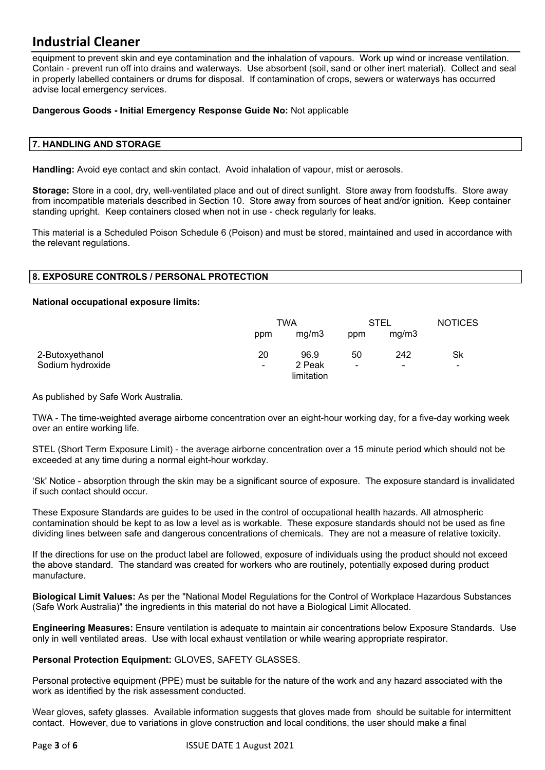equipment to prevent skin and eye contamination and the inhalation of vapours. Work up wind or increase ventilation. Contain - prevent run off into drains and waterways. Use absorbent (soil, sand or other inert material). Collect and seal in properly labelled containers or drums for disposal. If contamination of crops, sewers or waterways has occurred advise local emergency services.

#### **Dangerous Goods - Initial Emergency Response Guide No:** Not applicable

#### **7. HANDLING AND STORAGE**

**Handling:** Avoid eye contact and skin contact. Avoid inhalation of vapour, mist or aerosols.

**Storage:** Store in a cool, dry, well-ventilated place and out of direct sunlight. Store away from foodstuffs. Store away from incompatible materials described in Section 10. Store away from sources of heat and/or ignition. Keep container standing upright. Keep containers closed when not in use - check regularly for leaks.

This material is a Scheduled Poison Schedule 6 (Poison) and must be stored, maintained and used in accordance with the relevant regulations.

#### **8. EXPOSURE CONTROLS / PERSONAL PROTECTION**

#### **National occupational exposure limits:**

|                  |                | TWA                  |                          | STEL           |    |
|------------------|----------------|----------------------|--------------------------|----------------|----|
|                  | ppm            | mq/m3                | ppm                      | mg/m3          |    |
| 2-Butoxyethanol  | 20             | 96.9                 | 50                       | 242            | Sk |
| Sodium hydroxide | $\blacksquare$ | 2 Peak<br>limitation | $\overline{\phantom{0}}$ | $\blacksquare$ | -  |

As published by Safe Work Australia.

TWA - The time-weighted average airborne concentration over an eight-hour working day, for a five-day working week over an entire working life.

STEL (Short Term Exposure Limit) - the average airborne concentration over a 15 minute period which should not be exceeded at any time during a normal eight-hour workday.

'Sk' Notice - absorption through the skin may be a significant source of exposure. The exposure standard is invalidated if such contact should occur.

These Exposure Standards are guides to be used in the control of occupational health hazards. All atmospheric contamination should be kept to as low a level as is workable. These exposure standards should not be used as fine dividing lines between safe and dangerous concentrations of chemicals. They are not a measure of relative toxicity.

If the directions for use on the product label are followed, exposure of individuals using the product should not exceed the above standard. The standard was created for workers who are routinely, potentially exposed during product manufacture.

**Biological Limit Values:** As per the "National Model Regulations for the Control of Workplace Hazardous Substances (Safe Work Australia)" the ingredients in this material do not have a Biological Limit Allocated.

**Engineering Measures:** Ensure ventilation is adequate to maintain air concentrations below Exposure Standards. Use only in well ventilated areas. Use with local exhaust ventilation or while wearing appropriate respirator.

**Personal Protection Equipment:** GLOVES, SAFETY GLASSES.

Personal protective equipment (PPE) must be suitable for the nature of the work and any hazard associated with the work as identified by the risk assessment conducted.

Wear gloves, safety glasses. Available information suggests that gloves made from should be suitable for intermittent contact. However, due to variations in glove construction and local conditions, the user should make a final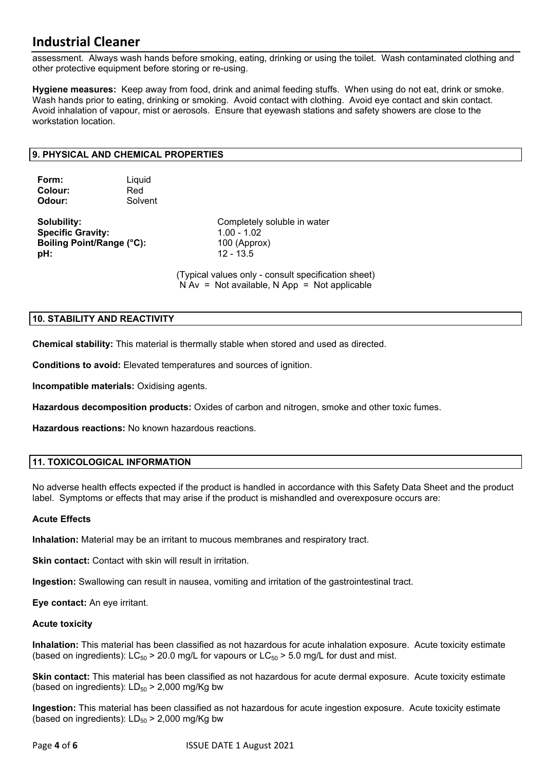assessment. Always wash hands before smoking, eating, drinking or using the toilet. Wash contaminated clothing and other protective equipment before storing or re-using.

**Hygiene measures:** Keep away from food, drink and animal feeding stuffs. When using do not eat, drink or smoke. Wash hands prior to eating, drinking or smoking. Avoid contact with clothing. Avoid eye contact and skin contact. Avoid inhalation of vapour, mist or aerosols. Ensure that eyewash stations and safety showers are close to the workstation location.

#### **9. PHYSICAL AND CHEMICAL PROPERTIES**

| Form:   | Liquid  |
|---------|---------|
| Colour: | Red     |
| Odour:  | Solvent |

**Specific Gravity:** 1.00 - 1.02 **Boiling Point/Range (°C):** 100 (Approx) **pH:** 12 - 13.5

**Solubility:** Completely soluble in water

(Typical values only - consult specification sheet)  $N Av = Not available, N App = Not applicable$ 

#### **10. STABILITY AND REACTIVITY**

**Chemical stability:** This material is thermally stable when stored and used as directed.

**Conditions to avoid:** Elevated temperatures and sources of ignition.

**Incompatible materials:** Oxidising agents.

**Hazardous decomposition products:** Oxides of carbon and nitrogen, smoke and other toxic fumes.

**Hazardous reactions:** No known hazardous reactions.

#### **11. TOXICOLOGICAL INFORMATION**

No adverse health effects expected if the product is handled in accordance with this Safety Data Sheet and the product label. Symptoms or effects that may arise if the product is mishandled and overexposure occurs are:

#### **Acute Effects**

**Inhalation:** Material may be an irritant to mucous membranes and respiratory tract.

**Skin contact:** Contact with skin will result in irritation.

**Ingestion:** Swallowing can result in nausea, vomiting and irritation of the gastrointestinal tract.

**Eye contact:** An eye irritant.

#### **Acute toxicity**

**Inhalation:** This material has been classified as not hazardous for acute inhalation exposure. Acute toxicity estimate (based on ingredients):  $LC_{50}$  > 20.0 mg/L for vapours or  $LC_{50}$  > 5.0 mg/L for dust and mist.

**Skin contact:** This material has been classified as not hazardous for acute dermal exposure. Acute toxicity estimate (based on ingredients):  $LD_{50}$  > 2,000 mg/Kg bw

**Ingestion:** This material has been classified as not hazardous for acute ingestion exposure. Acute toxicity estimate (based on ingredients):  $LD_{50}$  > 2,000 mg/Kg bw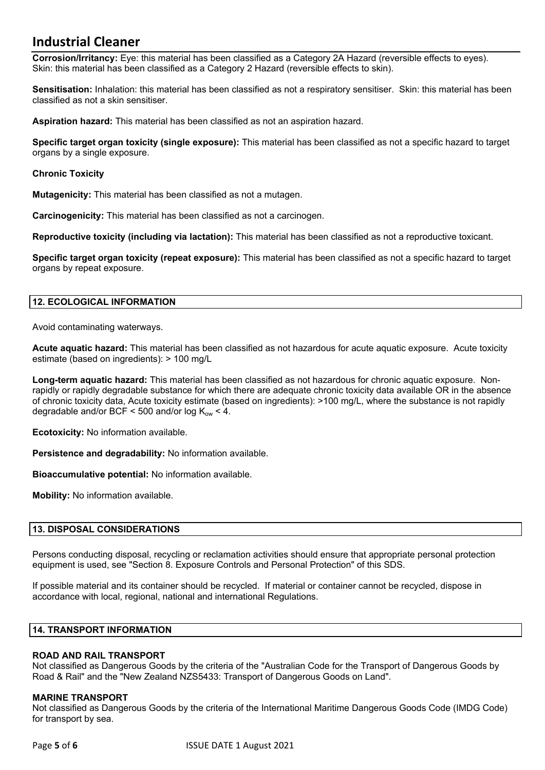**Corrosion/Irritancy:** Eye: this material has been classified as a Category 2A Hazard (reversible effects to eyes). Skin: this material has been classified as a Category 2 Hazard (reversible effects to skin).

**Sensitisation:** Inhalation: this material has been classified as not a respiratory sensitiser. Skin: this material has been classified as not a skin sensitiser.

**Aspiration hazard:** This material has been classified as not an aspiration hazard.

**Specific target organ toxicity (single exposure):** This material has been classified as not a specific hazard to target organs by a single exposure.

#### **Chronic Toxicity**

**Mutagenicity:** This material has been classified as not a mutagen.

**Carcinogenicity:** This material has been classified as not a carcinogen.

**Reproductive toxicity (including via lactation):** This material has been classified as not a reproductive toxicant.

**Specific target organ toxicity (repeat exposure):** This material has been classified as not a specific hazard to target organs by repeat exposure.

#### **12. ECOLOGICAL INFORMATION**

Avoid contaminating waterways.

**Acute aquatic hazard:** This material has been classified as not hazardous for acute aquatic exposure. Acute toxicity estimate (based on ingredients): > 100 mg/L

**Long-term aquatic hazard:** This material has been classified as not hazardous for chronic aquatic exposure. Nonrapidly or rapidly degradable substance for which there are adequate chronic toxicity data available OR in the absence of chronic toxicity data, Acute toxicity estimate (based on ingredients): >100 mg/L, where the substance is not rapidly degradable and/or BCF < 500 and/or log  $K_{ow}$  < 4.

**Ecotoxicity:** No information available.

**Persistence and degradability:** No information available.

**Bioaccumulative potential:** No information available.

**Mobility:** No information available.

#### **13. DISPOSAL CONSIDERATIONS**

Persons conducting disposal, recycling or reclamation activities should ensure that appropriate personal protection equipment is used, see "Section 8. Exposure Controls and Personal Protection" of this SDS.

If possible material and its container should be recycled. If material or container cannot be recycled, dispose in accordance with local, regional, national and international Regulations.

#### **14. TRANSPORT INFORMATION**

#### **ROAD AND RAIL TRANSPORT**

Not classified as Dangerous Goods by the criteria of the "Australian Code for the Transport of Dangerous Goods by Road & Rail" and the "New Zealand NZS5433: Transport of Dangerous Goods on Land".

#### **MARINE TRANSPORT**

Not classified as Dangerous Goods by the criteria of the International Maritime Dangerous Goods Code (IMDG Code) for transport by sea.